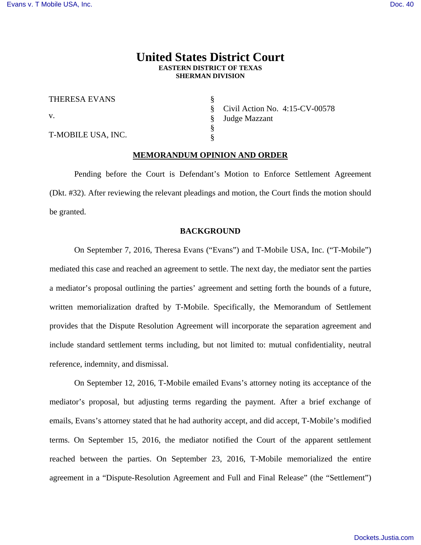# **United States District Court EASTERN DISTRICT OF TEXAS SHERMAN DIVISION**

| THERESA EVANS      |
|--------------------|
| V.                 |
| T-MOBILE USA, INC. |

§ § § § Civil Action No. 4:15-CV-00578 Judge Mazzant

### **MEMORANDUM OPINION AND ORDER**

§

 Pending before the Court is Defendant's Motion to Enforce Settlement Agreement (Dkt. #32). After reviewing the relevant pleadings and motion, the Court finds the motion should be granted.

#### **BACKGROUND**

 On September 7, 2016, Theresa Evans ("Evans") and T-Mobile USA, Inc. ("T-Mobile") mediated this case and reached an agreement to settle. The next day, the mediator sent the parties a mediator's proposal outlining the parties' agreement and setting forth the bounds of a future, written memorialization drafted by T-Mobile. Specifically, the Memorandum of Settlement provides that the Dispute Resolution Agreement will incorporate the separation agreement and include standard settlement terms including, but not limited to: mutual confidentiality, neutral reference, indemnity, and dismissal.

On September 12, 2016, T-Mobile emailed Evans's attorney noting its acceptance of the mediator's proposal, but adjusting terms regarding the payment. After a brief exchange of emails, Evans's attorney stated that he had authority accept, and did accept, T-Mobile's modified terms. On September 15, 2016, the mediator notified the Court of the apparent settlement reached between the parties. On September 23, 2016, T-Mobile memorialized the entire agreement in a "Dispute-Resolution Agreement and Full and Final Release" (the "Settlement")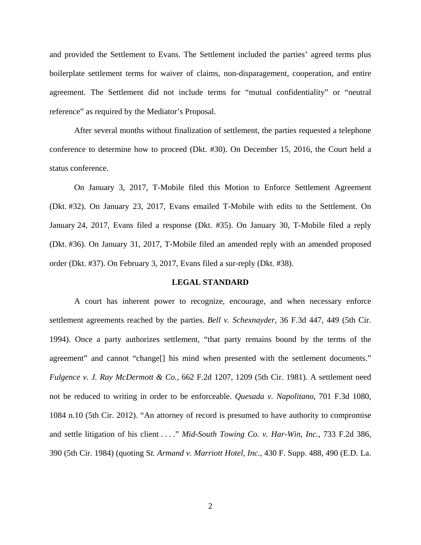and provided the Settlement to Evans. The Settlement included the parties' agreed terms plus boilerplate settlement terms for waiver of claims, non-disparagement, cooperation, and entire agreement. The Settlement did not include terms for "mutual confidentiality" or "neutral reference" as required by the Mediator's Proposal.

After several months without finalization of settlement, the parties requested a telephone conference to determine how to proceed (Dkt. #30). On December 15, 2016, the Court held a status conference.

On January 3, 2017, T-Mobile filed this Motion to Enforce Settlement Agreement (Dkt. #32). On January 23, 2017, Evans emailed T-Mobile with edits to the Settlement. On January 24, 2017, Evans filed a response (Dkt. #35). On January 30, T-Mobile filed a reply (Dkt. #36). On January 31, 2017, T-Mobile filed an amended reply with an amended proposed order (Dkt. #37). On February 3, 2017, Evans filed a sur-reply (Dkt. #38).

#### **LEGAL STANDARD**

 A court has inherent power to recognize, encourage, and when necessary enforce settlement agreements reached by the parties. *Bell v. Schexnayder*, 36 F.3d 447, 449 (5th Cir. 1994). Once a party authorizes settlement, "that party remains bound by the terms of the agreement" and cannot "change<sup>[]</sup> his mind when presented with the settlement documents." *Fulgence v. J. Ray McDermott & Co.*, 662 F.2d 1207, 1209 (5th Cir. 1981). A settlement need not be reduced to writing in order to be enforceable. *Quesada v. Napolitano*, 701 F.3d 1080, 1084 n.10 (5th Cir. 2012). "An attorney of record is presumed to have authority to compromise and settle litigation of his client . . . ." *Mid-South Towing Co. v. Har-Win, Inc.*, 733 F.2d 386, 390 (5th Cir. 1984) (quoting S*t. Armand v. Marriott Hotel, Inc.*, 430 F. Supp. 488, 490 (E.D. La.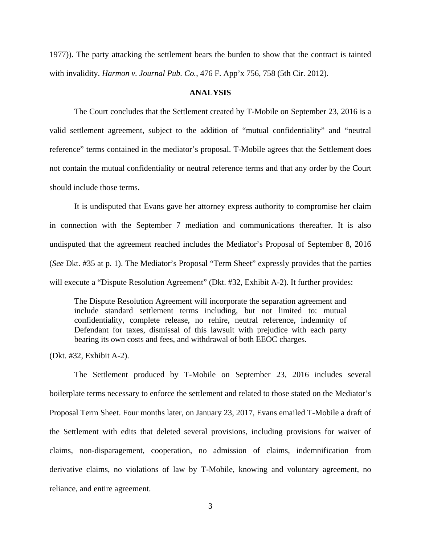1977)). The party attacking the settlement bears the burden to show that the contract is tainted with invalidity. *Harmon v. Journal Pub. Co.*, 476 F. App'x 756, 758 (5th Cir. 2012).

## **ANALYSIS**

 The Court concludes that the Settlement created by T-Mobile on September 23, 2016 is a valid settlement agreement, subject to the addition of "mutual confidentiality" and "neutral reference" terms contained in the mediator's proposal. T-Mobile agrees that the Settlement does not contain the mutual confidentiality or neutral reference terms and that any order by the Court should include those terms.

 It is undisputed that Evans gave her attorney express authority to compromise her claim in connection with the September 7 mediation and communications thereafter. It is also undisputed that the agreement reached includes the Mediator's Proposal of September 8, 2016 (*See* Dkt. #35 at p. 1). The Mediator's Proposal "Term Sheet" expressly provides that the parties will execute a "Dispute Resolution Agreement" (Dkt. #32, Exhibit A-2). It further provides:

The Dispute Resolution Agreement will incorporate the separation agreement and include standard settlement terms including, but not limited to: mutual confidentiality, complete release, no rehire, neutral reference, indemnity of Defendant for taxes, dismissal of this lawsuit with prejudice with each party bearing its own costs and fees, and withdrawal of both EEOC charges.

(Dkt. #32, Exhibit A-2).

The Settlement produced by T-Mobile on September 23, 2016 includes several boilerplate terms necessary to enforce the settlement and related to those stated on the Mediator's Proposal Term Sheet. Four months later, on January 23, 2017, Evans emailed T-Mobile a draft of the Settlement with edits that deleted several provisions, including provisions for waiver of claims, non-disparagement, cooperation, no admission of claims, indemnification from derivative claims, no violations of law by T-Mobile, knowing and voluntary agreement, no reliance, and entire agreement.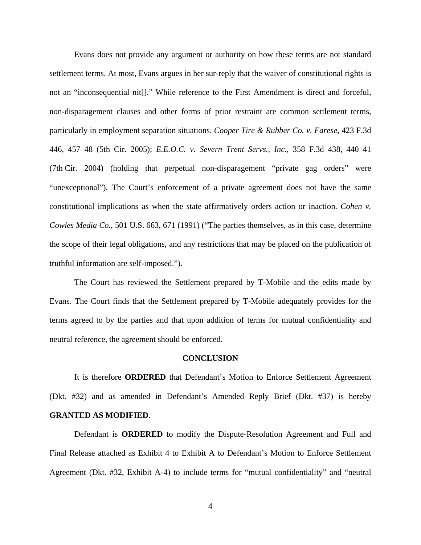Evans does not provide any argument or authority on how these terms are not standard settlement terms. At most, Evans argues in her sur-reply that the waiver of constitutional rights is not an "inconsequential nit[]." While reference to the First Amendment is direct and forceful, non-disparagement clauses and other forms of prior restraint are common settlement terms, particularly in employment separation situations. *Cooper Tire & Rubber Co. v. Farese*, 423 F.3d 446, 457–48 (5th Cir. 2005); *E.E.O.C. v. Severn Trent Servs., Inc.*, 358 F.3d 438, 440–41 (7th Cir. 2004) (holding that perpetual non-disparagement "private gag orders" were "unexceptional"). The Court's enforcement of a private agreement does not have the same constitutional implications as when the state affirmatively orders action or inaction. *Cohen v. Cowles Media Co.*, 501 U.S. 663, 671 (1991) ("The parties themselves, as in this case, determine the scope of their legal obligations, and any restrictions that may be placed on the publication of truthful information are self-imposed.").

The Court has reviewed the Settlement prepared by T-Mobile and the edits made by Evans. The Court finds that the Settlement prepared by T-Mobile adequately provides for the terms agreed to by the parties and that upon addition of terms for mutual confidentiality and neutral reference, the agreement should be enforced.

#### **CONCLUSION**

 It is therefore **ORDERED** that Defendant's Motion to Enforce Settlement Agreement (Dkt. #32) and as amended in Defendant's Amended Reply Brief (Dkt. #37) is hereby **GRANTED AS MODIFIED**.

 Defendant is **ORDERED** to modify the Dispute-Resolution Agreement and Full and Final Release attached as Exhibit 4 to Exhibit A to Defendant's Motion to Enforce Settlement Agreement (Dkt. #32, Exhibit A-4) to include terms for "mutual confidentiality" and "neutral

4